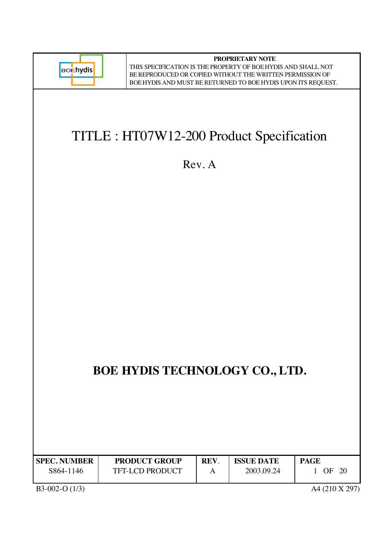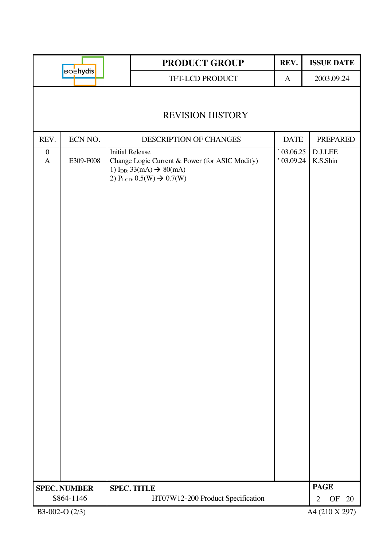|                                  |                     |                        | <b>PRODUCT GROUP</b>                                                                                                                                  | REV.                 | <b>ISSUE DATE</b>          |
|----------------------------------|---------------------|------------------------|-------------------------------------------------------------------------------------------------------------------------------------------------------|----------------------|----------------------------|
|                                  | <b>BOEhydis</b>     |                        | TFT-LCD PRODUCT                                                                                                                                       | $\mathbf{A}$         | 2003.09.24                 |
|                                  |                     |                        | <b>REVISION HISTORY</b>                                                                                                                               |                      |                            |
| REV.                             | ECN NO.             |                        | DESCRIPTION OF CHANGES                                                                                                                                | <b>DATE</b>          | <b>PREPARED</b>            |
| $\boldsymbol{0}$<br>$\mathbf{A}$ | E309-F008           | <b>Initial Release</b> | Change Logic Current & Power (for ASIC Modify)<br>1) I <sub>DD:</sub> 33(mA) $\rightarrow$ 80(mA)<br>2) P <sub>LCD:</sub> $0.5(W) \rightarrow 0.7(W)$ | 03.06.25<br>03.09.24 | <b>D.J.LEE</b><br>K.S.Shin |
|                                  | <b>SPEC. NUMBER</b> |                        | <b>SPEC. TITLE</b>                                                                                                                                    |                      | <b>PAGE</b>                |
|                                  | S864-1146           |                        | HT07W12-200 Product Specification                                                                                                                     |                      | OF<br>20<br>$\overline{2}$ |
|                                  | B3-002-O (2/3)      |                        |                                                                                                                                                       |                      | A4 (210 X 297)             |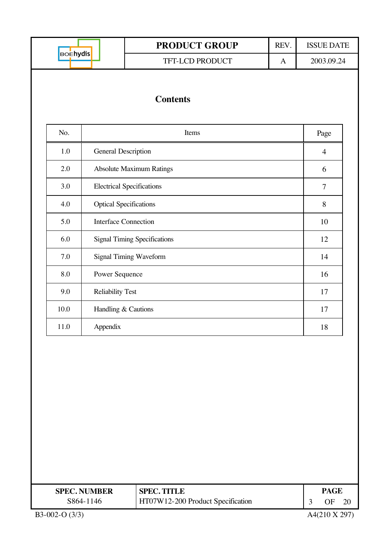| <b>BOEhydis</b> |  |
|-----------------|--|
|                 |  |

## **PRODUCT GROUP** REV. ISSUE DATE TFT-LCD PRODUCT A 2003.09.24

## **Contents**

| No.  | Items                               | Page |
|------|-------------------------------------|------|
| 1.0  | <b>General Description</b>          | 4    |
| 2.0  | <b>Absolute Maximum Ratings</b>     | 6    |
| 3.0  | <b>Electrical Specifications</b>    | 7    |
| 4.0  | <b>Optical Specifications</b>       | 8    |
| 5.0  | <b>Interface Connection</b>         | 10   |
| 6.0  | <b>Signal Timing Specifications</b> | 12   |
| 7.0  | Signal Timing Waveform              | 14   |
| 8.0  | Power Sequence                      | 16   |
| 9.0  | <b>Reliability Test</b>             | 17   |
| 10.0 | Handling & Cautions                 | 17   |
| 11.0 | Appendix                            | 18   |

| <b>SPEC. NUMBER</b> | <b>SPEC. TITLE</b>                |  | PAGE |  |  |
|---------------------|-----------------------------------|--|------|--|--|
| S864-1146           | HT07W12-200 Product Specification |  | OF   |  |  |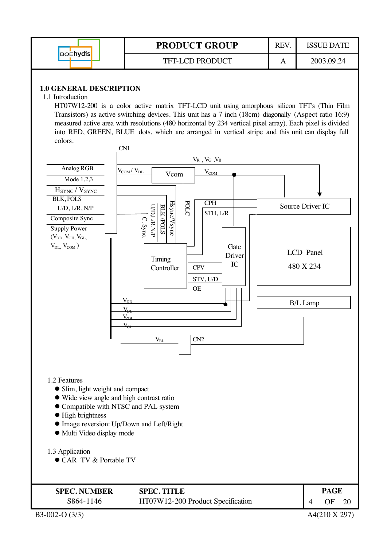|                 | <b>PRODUCT GROUP</b>   | REV | ISSUE DATE |
|-----------------|------------------------|-----|------------|
| <b>BOENVdis</b> | <b>TFT-LCD PRODUCT</b> |     | 2003.09.24 |

#### **1.0 GENERAL DESCRIPTION**

1.1 Introduction

HT07W12-200 is a color active matrix TFT-LCD unit using amorphous silicon TFT's (Thin Film Transistors) as active switching devices. This unit has a 7 inch (18cm) diagonally (Aspect ratio 16:9) measured active area with resolutions (480 horizontal by 234 vertical pixel array). Each pixel is divided into RED, GREEN, BLUE dots, which are arranged in vertical stripe and this unit can display full colors.

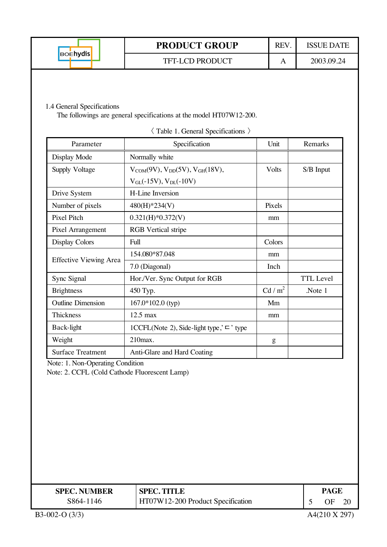|                 | <b>PRODUCT GROUP</b> | <b>REV</b> | ISSUE DATE |
|-----------------|----------------------|------------|------------|
| <b>BOENYdis</b> | TFT-LCD PRODUCT      | A          | 2003.09.24 |

#### 1.4 General Specifications

The followings are general specifications at the model HT07W12-200.

| Parameter                     | Specification                                       | Unit              | Remarks          |
|-------------------------------|-----------------------------------------------------|-------------------|------------------|
| Display Mode                  | Normally white                                      |                   |                  |
| Supply Voltage                | $V_{COM}(9V), V_{DD}(5V), V_{GH}(18V),$             | Volts             | S/B Input        |
|                               | $V_{GL}(-15V)$ , $V_{DL}(-10V)$                     |                   |                  |
| Drive System                  | <b>H-Line Inversion</b>                             |                   |                  |
| Number of pixels              | 480(H)*234(V)                                       | Pixels            |                  |
| Pixel Pitch                   | $0.321(H)*0.372(V)$                                 | mm                |                  |
| Pixel Arrangement             | <b>RGB</b> Vertical stripe                          |                   |                  |
| <b>Display Colors</b>         | Full                                                | Colors            |                  |
|                               | 154.080*87.048                                      | mm                |                  |
| <b>Effective Viewing Area</b> | 7.0 (Diagonal)                                      | Inch              |                  |
| Sync Signal                   | Hor./Ver. Sync Output for RGB                       |                   | <b>TTL Level</b> |
| <b>Brightness</b>             | 450 Typ.                                            | Cd/m <sup>2</sup> | Note 1           |
| <b>Outline Dimension</b>      | 167.0*102.0 (typ)                                   | Mm                |                  |
| Thickness                     | $12.5$ max                                          | mm                |                  |
| Back-light                    | 1CCFL(Note 2), Side-light type,' $\sqsubset$ ' type |                   |                  |
| Weight                        | 210max.                                             | g                 |                  |
| <b>Surface Treatment</b>      | Anti-Glare and Hard Coating                         |                   |                  |

-Table 1. General Specifications

Note: 1. Non-Operating Condition

Note: 2. CCFL (Cold Cathode Fluorescent Lamp)

| <b>SPEC. NUMBER</b> | <b>SPEC. TITLE</b>                |  |    | PAGE |  |
|---------------------|-----------------------------------|--|----|------|--|
| S864-1146           | HT07W12-200 Product Specification |  | ΩE |      |  |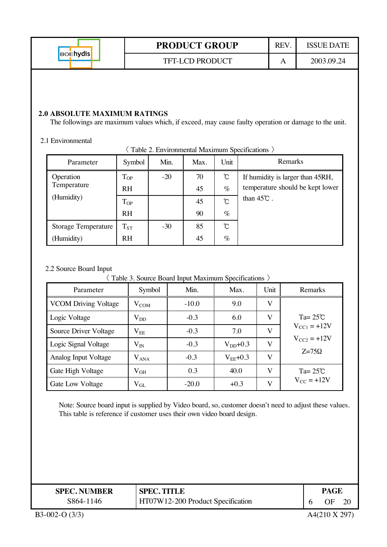|                 | <b>PRODUCT GROUP</b>   | <b>REV</b> | <b>ISSUE DATE</b> |
|-----------------|------------------------|------------|-------------------|
| <b>BOENYdis</b> | <b>TFT-LCD PRODUCT</b> | A          | 2003.09.24        |
|                 |                        |            |                   |

#### **2.0 ABSOLUTE MAXIMUM RATINGS**

The followings are maximum values which, if exceed, may cause faulty operation or damage to the unit.

#### 2.1 Environmental

| Parameter                  | Symbol    | Min.  | Max. | Unit | Remarks                          |
|----------------------------|-----------|-------|------|------|----------------------------------|
| Operation                  | $T_{OP}$  | $-20$ | 70   | ℃    | If humidity is larger than 45RH, |
| Temperature                | <b>RH</b> |       | 45   | $\%$ | temperature should be kept lower |
| (Humidity)                 | $T_{OP}$  |       | 45   | Ĉ    | than $45^{\circ}$ .              |
|                            | <b>RH</b> |       | 90   | $\%$ |                                  |
| <b>Storage Temperature</b> | $T_{ST}$  | $-30$ | 85   | ື    |                                  |
| (Humidity)                 | <b>RH</b> |       | 45   | $\%$ |                                  |

-Table 2. Environmental Maximum Specifications

#### 2.2 Source Board Input

-Table 3. Source Board Input Maximum Specifications

| Parameter                   | Symbol        | Min.    | Max.          | Unit    | Remarks                 |
|-----------------------------|---------------|---------|---------------|---------|-------------------------|
| <b>VCOM Driving Voltage</b> | $V_{COM}$     | $-10.0$ | 9.0           | V       |                         |
| Logic Voltage               | $\rm V_{DD}$  | $-0.3$  | 6.0           | V       | Ta= $25^{\circ}$ C      |
| Source Driver Voltage       | $\rm V_{EE}$  | $-0.3$  | 7.0           | $\bf V$ | $V_{\text{CC1}} = +12V$ |
| Logic Signal Voltage        | $\rm V_{IN}$  | $-0.3$  | $V_{DD}$ +0.3 | $\bf V$ | $V_{CC2} = +12V$        |
| Analog Input Voltage        | $\rm V_{ANA}$ | $-0.3$  | $V_{EE}$ +0.3 | V       | $Z=75\Omega$            |
| Gate High Voltage           | $\rm V_{GH}$  | 0.3     | 40.0          | V       | Ta= $25^{\circ}$ C      |
| Gate Low Voltage            | $\rm V_{GL}$  | $-20.0$ | $+0.3$        | V       | $V_{\rm CC} = +12V$     |

Note: Source board input is supplied by Video board, so, customer doesn't need to adjust these values. This table is reference if customer uses their own video board design.

| <b>SPEC. NUMBER</b> | <b>SPEC. TITLE</b>                | PAGE |    |
|---------------------|-----------------------------------|------|----|
| S864-1146           | HT07W12-200 Product Specification | ЭF   | 20 |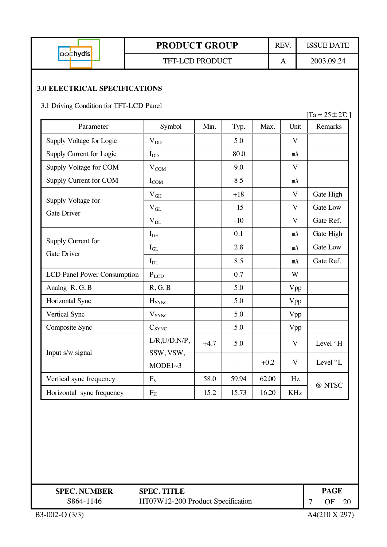| <b>BOENydis</b> |  |
|-----------------|--|
|                 |  |

#### TFT-LCD PRODUCT A 2003.09.24

#### **3.0 ELECTRICAL SPECIFICATIONS**

3.1 Driving Condition for TFT-LCD Panel

|                                          |                          |                          |                          |        |                         | $[Ta = 25 \pm 2\degree C]$ |
|------------------------------------------|--------------------------|--------------------------|--------------------------|--------|-------------------------|----------------------------|
| Parameter                                | Symbol                   | Min.                     | Typ.                     | Max.   | Unit                    | Remarks                    |
| Supply Voltage for Logic                 | $V_{DD}$                 |                          | 5.0                      |        | $\mathbf{V}$            |                            |
| Supply Current for Logic                 | $I_{DD}$                 |                          | 80.0                     |        | mA                      |                            |
| Supply Voltage for COM                   | $V_{COM}$                |                          | 9.0                      |        | $\mathbf{V}$            |                            |
| Supply Current for COM                   | $I_{COM}$                |                          | 8.5                      |        | mA                      |                            |
|                                          | $V_{GH}$                 |                          | $+18$                    |        | $\mathbf{V}$            | Gate High                  |
| Supply Voltage for<br><b>Gate Driver</b> | $V_{GL}$                 |                          | $-15$                    |        | $\mathbf{V}$            | Gate Low                   |
|                                          | $\rm V_{DL}$             |                          | $-10$                    |        | $\mathbf{V}$            | Gate Ref.                  |
|                                          | I <sub>GH</sub>          |                          | 0.1                      |        | mA                      | Gate High                  |
| Supply Current for<br><b>Gate Driver</b> | $\mathbf{I}_{\rm GL}$    |                          | 2.8                      |        | mA                      | Gate Low                   |
|                                          | $\mathbf{I}_{\text{DL}}$ |                          | 8.5                      |        | mA                      | Gate Ref.                  |
| <b>LCD Panel Power Consumption</b>       | $P_{LCD}$                |                          | 0.7                      |        | W                       |                            |
| Analog R, G, B                           | R, G, B                  |                          | 5.0                      |        | Vpp                     |                            |
| Horizontal Sync                          | $H_{SYNC}$               |                          | 5.0                      |        | Vpp                     |                            |
| Vertical Sync                            | <b>V</b> <sub>SYNC</sub> |                          | 5.0                      |        | Vpp                     |                            |
| Composite Sync                           | $C_{SYNC}$               |                          | 5.0                      |        | Vpp                     |                            |
|                                          | $L/R$ , $U/D$ , $N/P$ ,  | $+4.7$                   | 5.0                      |        | V                       | Level "H                   |
| Input s/w signal                         | SSW, VSW,<br>MODE1~3     | $\overline{\phantom{a}}$ | $\overline{\phantom{a}}$ | $+0.2$ | $\overline{\mathbf{V}}$ | Level "L                   |
| Vertical sync frequency                  | $F_V$                    | 58.0                     | 59.94                    | 62.00  | Hz                      | @ NTSC                     |
| Horizontal sync frequency                | $F_{H}$                  | 15.2                     | 15.73                    | 16.20  | <b>KHz</b>              |                            |

| <b>SPEC. NUMBER</b> | <b>SPEC. TITLE</b>                | PAGE |    |
|---------------------|-----------------------------------|------|----|
| S864-1146           | HT07W12-200 Product Specification | JЕ   | 20 |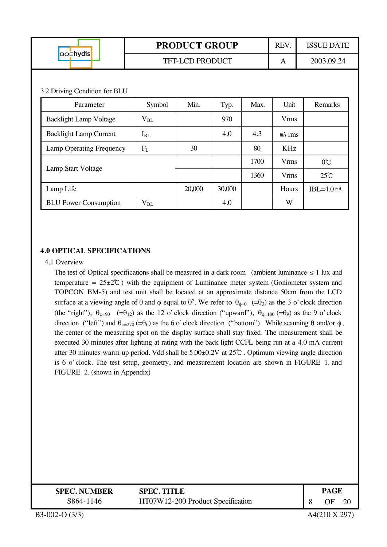|                               |          | <b>PRODUCT GROUP</b>   | REV.   | <b>ISSUE DATE</b> |             |                |
|-------------------------------|----------|------------------------|--------|-------------------|-------------|----------------|
| <b>BOEhydis</b>               |          | <b>TFT-LCD PRODUCT</b> |        |                   | A           | 2003.09.24     |
|                               |          |                        |        |                   |             |                |
| 3.2 Driving Condition for BLU |          |                        |        |                   |             |                |
| Parameter                     | Symbol   | Min.                   | Typ.   | Max.              | Unit        | Remarks        |
| <b>Backlight Lamp Voltage</b> | $V_{BL}$ |                        | 970    |                   | <b>Vrms</b> |                |
| <b>Backlight Lamp Current</b> | $I_{BL}$ |                        | 4.0    | 4.3               | $mA$ rms    |                |
| Lamp Operating Frequency      | $F_{L}$  | 30                     |        | 80                | KHz         |                |
|                               |          |                        |        | 1700              | <b>Vrms</b> | $0^{\circ}$    |
| Lamp Start Voltage            |          |                        |        | 1360              | <b>Vrms</b> | $25^{\circ}$ C |
| Lamp Life                     |          | 20,000                 | 30,000 |                   | Hours       | $IBL=4.0$ mA   |
| <b>BLU Power Consumption</b>  | $V_{BL}$ |                        | 4.0    |                   | W           |                |

#### **4.0 OPTICAL SPECIFICATIONS**

#### 4.1 Overview

The test of Optical specifications shall be measured in a dark room (ambient luminance  $\leq 1$  lux and temperature  $= 25 \pm 2^{\circ}$ ) with the equipment of Luminance meter system (Goniometer system and TOPCON BM-5) and test unit shall be located at an approximate distance 50cm from the LCD surface at a viewing angle of  $\theta$  and  $\phi$  equal to  $0^\circ$ . We refer to  $\theta_{\phi=0}$  (= $\theta_3$ ) as the 3 o' clock direction (the "right"),  $\theta_{\phi=90}$  (= $\theta_{12}$ ) as the 12 o' clock direction ("upward"),  $\theta_{\phi=180}$  (= $\theta_{9}$ ) as the 9 o' clock direction ("left") and  $θ_{φ=270} (=θ_6)$  as the 6 o' clock direction ("bottom"). While scanning θ and/or φ, the center of the measuring spot on the display surface shall stay fixed. The measurement shall be executed 30 minutes after lighting at rating with the back-light CCFL being run at a 4.0 mA current after 30 minutes warm-up period. Vdd shall be  $5.00\pm0.2V$  at  $25^{\circ}$ . Optimum viewing angle direction is 6 o' clock. The test setup, geometry, and measurement location are shown in FIGURE 1. and FIGURE 2. (shown in Appendix)

| <b>SPEC. NUMBER</b> | <b>SPEC. TITLE</b>                |  | PAGE |    |
|---------------------|-----------------------------------|--|------|----|
| S864-1146           | HT07W12-200 Product Specification |  | ОF   | 2( |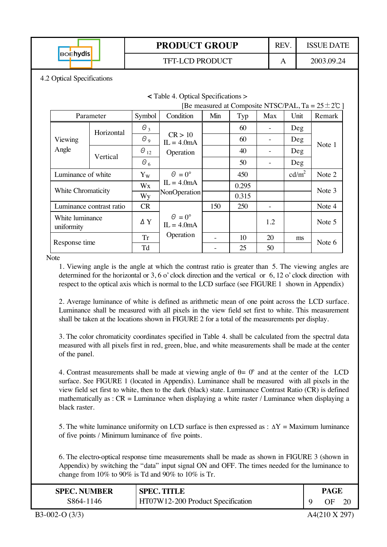

TFT-LCD PRODUCT A A 2003.09.24

**<** Table 4. Optical Specifications >

4.2 Optical Specifications

| [Be measured at Composite NTSC/PAL, Ta = $25 \pm 2$ °C ] |                          |               |                                      |     |       |     |                   |        |  |
|----------------------------------------------------------|--------------------------|---------------|--------------------------------------|-----|-------|-----|-------------------|--------|--|
|                                                          | Parameter                | Symbol        | Condition                            | Min | Typ   | Max | Unit              | Remark |  |
|                                                          | Horizontal               | $\theta_3$    |                                      |     | 60    |     | Deg               |        |  |
| Viewing                                                  |                          | $\theta$ 9    | CR > 10<br>$IL = 4.0mA$              |     | 60    |     | Deg               | Note 1 |  |
| Angle                                                    | Vertical                 | $\Theta_{12}$ | Operation                            |     | 40    |     | Deg               |        |  |
|                                                          |                          | $\theta_{6}$  |                                      |     | 50    |     | Deg               |        |  |
|                                                          | Luminance of white       |               | $\theta = 0^{\circ}$                 |     | 450   |     | cd/m <sup>2</sup> | Note 2 |  |
| White Chromaticity                                       |                          | Wx            | $IL = 4.0mA$                         |     | 0.295 |     |                   | Note 3 |  |
|                                                          |                          | Wy            | NonOperation                         |     | 0.315 |     |                   |        |  |
|                                                          | Luminance contrast ratio | <b>CR</b>     |                                      | 150 | 250   |     |                   | Note 4 |  |
| White luminance<br>uniformity                            |                          | $\Delta$ Y    | $\Theta = 0^{\circ}$<br>$IL = 4.0mA$ |     |       | 1.2 |                   | Note 5 |  |
| Response time                                            |                          | <b>Tr</b>     | Operation                            |     | 10    | 20  | ms                | Note 6 |  |
|                                                          |                          | Td            |                                      |     | 25    | 50  |                   |        |  |

Note

1. Viewing angle is the angle at which the contrast ratio is greater than 5. The viewing angles are determined for the horizontal or 3, 6 o' clock direction and the vertical or 6, 12 o' clock direction with respect to the optical axis which is normal to the LCD surface (see FIGURE 1 shown in Appendix)

2. Average luminance of white is defined as arithmetic mean of one point across the LCD surface. Luminance shall be measured with all pixels in the view field set first to white. This measurement shall be taken at the locations shown in FIGURE 2 for a total of the measurements per display.

3. The color chromaticity coordinates specified in Table 4. shall be calculated from the spectral data measured with all pixels first in red, green, blue, and white measurements shall be made at the center of the panel.

4. Contrast measurements shall be made at viewing angle of  $\theta = 0^{\circ}$  and at the center of the LCD surface. See FIGURE 1 (located in Appendix). Luminance shall be measured with all pixels in the view field set first to white, then to the dark (black) state. Luminance Contrast Ratio (CR) is defined mathematically as :  $CR =$  Luminance when displaying a white raster / Luminance when displaying a black raster.

5. The white luminance uniformity on LCD surface is then expressed as :  $\Delta Y =$  Maximum luminance of five points / Minimum luminance of five points.

6. The electro-optical response time measurements shall be made as shown in FIGURE 3 (shown in Appendix) by switching the "data" input signal ON and OFF. The times needed for the luminance to change from 10% to 90% is Td and 90% to 10% is Tr.

| <b>SPEC. NUMBER</b> | <b>SPEC. TITLE</b>                | <b>PAGE</b> |    |    |  |
|---------------------|-----------------------------------|-------------|----|----|--|
| S864-1146           | HT07W12-200 Product Specification |             | ОF | 20 |  |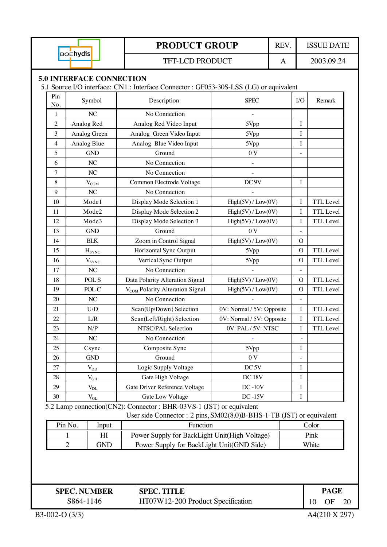| <b>BOEhydis</b> |                                 | <b>PRODUCT GROUP</b>                                                                 | REV.                      |  | <b>ISSUE DATE</b>        |                  |  |  |
|-----------------|---------------------------------|--------------------------------------------------------------------------------------|---------------------------|--|--------------------------|------------------|--|--|
|                 |                                 | <b>TFT-LCD PRODUCT</b>                                                               | A                         |  | 2003.09.24               |                  |  |  |
|                 | <b>5.0 INTERFACE CONNECTION</b> |                                                                                      |                           |  |                          |                  |  |  |
|                 |                                 | 5.1 Source I/O interface: CN1: Interface Connector: GF053-30S-LSS (LG) or equivalent |                           |  |                          |                  |  |  |
| Pin             |                                 |                                                                                      |                           |  |                          |                  |  |  |
| No.             | Symbol                          | Description                                                                          | <b>SPEC</b>               |  | I/O                      | Remark           |  |  |
| $\mathbf{1}$    | NC                              | No Connection                                                                        |                           |  |                          |                  |  |  |
| $\mathfrak{2}$  | Analog Red                      | Analog Red Video Input                                                               | 5Vpp                      |  | I                        |                  |  |  |
| 3               | Analog Green                    | Analog Green Video Input                                                             | 5Vpp                      |  | $\mathbf I$              |                  |  |  |
| 4               | Analog Blue                     | Analog Blue Video Input                                                              | 5Vpp                      |  | I                        |                  |  |  |
| 5               | <b>GND</b>                      | Ground                                                                               | 0 <sub>V</sub>            |  | $\overline{a}$           |                  |  |  |
| 6               | NC                              | No Connection                                                                        |                           |  |                          |                  |  |  |
| 7               | NC                              | No Connection                                                                        |                           |  |                          |                  |  |  |
| 8               | $V_{COM}$                       | Common Electrode Voltage                                                             | DC <sub>9V</sub>          |  | I                        |                  |  |  |
| 9               | NC                              | No Connection                                                                        |                           |  |                          |                  |  |  |
| 10              | Mode1                           | Display Mode Selection 1                                                             | High(5V) / Low(0V)        |  | I                        | <b>TTL</b> Level |  |  |
| 11              | Mode2                           | Display Mode Selection 2                                                             | High(5V) / Low(0V)        |  | I                        | <b>TTL</b> Level |  |  |
| 12              | Mode3                           | Display Mode Selection 3                                                             | High(5V) / Low(0V)        |  | I                        | TTL Level        |  |  |
| 13              | <b>GND</b>                      | Ground                                                                               | 0 <sub>V</sub>            |  | $\overline{a}$           |                  |  |  |
| 14              | <b>BLK</b>                      | Zoom in Control Signal                                                               | High(5V) / Low(0V)        |  | $\mathcal{O}$            |                  |  |  |
| 15              | $H_{SYNC}$                      | Horizontal Sync Output                                                               | 5Vpp                      |  | $\overline{O}$           | TTL Level        |  |  |
| 16              | $V_{SYNC}$                      | Vertical Sync Output                                                                 | 5Vpp                      |  | $\mathcal{O}$            | TTL Level        |  |  |
| 17              | NC                              | No Connection                                                                        |                           |  | $\overline{a}$           |                  |  |  |
| 18              | POL S                           | Data Polarity Alteration Signal                                                      | High(5V) / Low(0V)        |  | $\mathcal{O}$            | <b>TTL</b> Level |  |  |
| 19              | POL C                           | V <sub>COM</sub> Polarity Alteration Signal                                          | High(5V) / Low(0V)        |  | $\overline{O}$           | TTL Level        |  |  |
| 20              | NC                              | No Connection                                                                        |                           |  | $\equiv$                 |                  |  |  |
| 21              | U/D                             | Scan(Up/Down) Selection                                                              | 0V: Normal / 5V: Opposite |  | I                        | TTL Level        |  |  |
| 22              | L/R                             | Scan(Left/Right) Selection                                                           | 0V: Normal / 5V: Opposite |  | $\bf I$                  | <b>TTL</b> Level |  |  |
| 23              | N/P                             | NTSC/PAL Selection                                                                   | 0V: PAL / 5V: NTSC        |  | $\bf I$                  | TTL Level        |  |  |
| 24              | NC                              | No Connection                                                                        | ÷                         |  | $\overline{\phantom{a}}$ |                  |  |  |
| 25              | Csync                           | Composite Sync                                                                       | 5Vpp                      |  | I                        |                  |  |  |
| 26              | <b>GND</b>                      | Ground                                                                               | 0 <sub>V</sub>            |  | $\overline{\phantom{0}}$ |                  |  |  |
| 27              | $V_{DD}$                        | Logic Supply Voltage                                                                 | DC <sub>5V</sub>          |  | I                        |                  |  |  |
| 28              | $V_{GH}$                        | Gate High Voltage                                                                    | DC 18V                    |  | I                        |                  |  |  |
| 29              | $V_{DL}$                        | Gate Driver Reference Voltage                                                        | $DC-10V$                  |  | I                        |                  |  |  |
| 30              | $V_{GL}$                        | Gate Low Voltage                                                                     | $DC-15V$                  |  | I                        |                  |  |  |
|                 |                                 | 5.2 Lamp connection(CN2): Connector : BHR-03VS-1 (JST) or equivalent                 |                           |  |                          |                  |  |  |
|                 |                                 | User side Connector : 2 pins, SM02(8.0)B-BHS-1-TB (JST) or equivalent                |                           |  |                          |                  |  |  |
|                 | Pin No.<br>Input                | Function                                                                             |                           |  |                          | Color            |  |  |
|                 | HI<br>1                         | Power Supply for BackLight Unit(High Voltage)                                        |                           |  |                          | Pink             |  |  |
|                 | $\overline{2}$<br><b>GND</b>    | Power Supply for BackLight Unit(GND Side)                                            |                           |  |                          | White            |  |  |
|                 |                                 |                                                                                      |                           |  |                          |                  |  |  |
|                 | <b>SPEC. NUMBER</b>             | <b>SPEC. TITLE</b>                                                                   |                           |  |                          | <b>PAGE</b>      |  |  |
|                 | S864-1146                       | HT07W12-200 Product Specification                                                    |                           |  | OF<br>10                 |                  |  |  |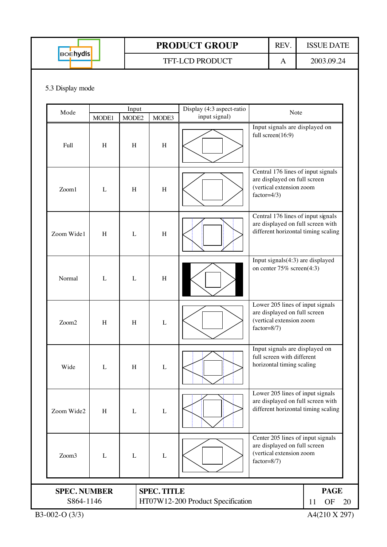| <b>BOEhydis</b> |
|-----------------|
|                 |

TFT-LCD PRODUCT A 2003.09.24

#### 5.3 Display mode

| Mode                                                                                        |                           | Input |             | Display (4:3 aspect-ratio | Note                                                                                                            |                |  |
|---------------------------------------------------------------------------------------------|---------------------------|-------|-------------|---------------------------|-----------------------------------------------------------------------------------------------------------------|----------------|--|
|                                                                                             | MODE1                     | MODE2 | MODE3       | input signal)             |                                                                                                                 |                |  |
| Full                                                                                        | $\boldsymbol{\mathrm{H}}$ | H     | $\mathbf H$ |                           | Input signals are displayed on<br>full screen(16:9)                                                             |                |  |
| Zoom1                                                                                       | L                         | H     | H           |                           | Central 176 lines of input signals<br>are displayed on full screen<br>(vertical extension zoom<br>$factor=4/3)$ |                |  |
| Zoom Wide1                                                                                  | $\boldsymbol{\mathrm{H}}$ | L     | H           |                           | Central 176 lines of input signals<br>are displayed on full screen with<br>different horizontal timing scaling  |                |  |
| Normal                                                                                      | $\mathbf{L}$              | L     | H           |                           | Input signals(4:3) are displayed<br>on center $75\%$ screen(4:3)                                                |                |  |
| Zoom2                                                                                       | H                         | H     | $\mathbf L$ |                           | Lower 205 lines of input signals<br>are displayed on full screen<br>(vertical extension zoom<br>$factor=8/7)$   |                |  |
| Wide                                                                                        | L                         | H     | L           |                           | Input signals are displayed on<br>full screen with different<br>horizontal timing scaling                       |                |  |
| Zoom Wide2                                                                                  | H                         | L     | $\mathbf L$ |                           | Lower 205 lines of input signals<br>are displayed on full screen with<br>different horizontal timing scaling    |                |  |
| Zoom3                                                                                       | $\mathbf{L}$              | L     | $\mathbf L$ |                           | Center 205 lines of input signals<br>are displayed on full screen<br>(vertical extension zoom<br>$factor=8/7)$  |                |  |
|                                                                                             |                           |       |             |                           |                                                                                                                 | <b>PAGE</b>    |  |
| <b>SPEC. TITLE</b><br><b>SPEC. NUMBER</b><br>S864-1146<br>HT07W12-200 Product Specification |                           |       |             |                           |                                                                                                                 |                |  |
|                                                                                             |                           |       |             |                           |                                                                                                                 | OF<br>11<br>20 |  |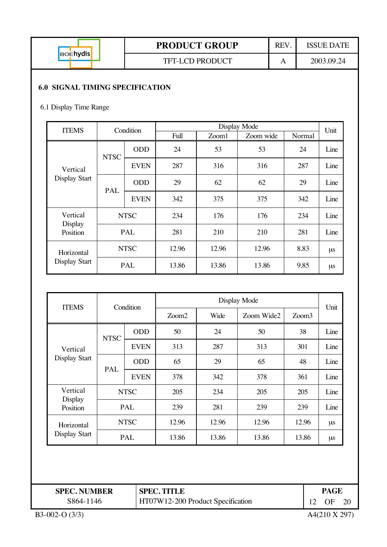| <b>BOEhydis</b> |  |
|-----------------|--|
|                 |  |

TFT-LCD PRODUCT A 2003.09.24

#### **6.0 SIGNAL TIMING SPECIFICATION**

#### 6.1 Display Time Range

| <b>ITEMS</b>         | Condition   |             |             |       | Display Mode |        | Unit |      |
|----------------------|-------------|-------------|-------------|-------|--------------|--------|------|------|
|                      |             |             | Full        | Zoom1 | Zoom wide    | Normal |      |      |
|                      | <b>NTSC</b> | <b>ODD</b>  | 24          | 53    | 53           | 24     | Line |      |
| Vertical             |             | <b>EVEN</b> | 287         | 316   | 316          | 287    | Line |      |
| <b>Display Start</b> | PAL         | <b>ODD</b>  | 29          | 62    | 62           | 29     | Line |      |
|                      |             |             | <b>EVEN</b> | 342   | 375          | 375    | 342  | Line |
| Vertical<br>Display  |             | <b>NTSC</b> | 234         | 176   | 176          | 234    | Line |      |
| Position             |             | PAL         | 281         | 210   | 210          | 281    | Line |      |
| Horizontal           |             | <b>NTSC</b> | 12.96       | 12.96 | 12.96        | 8.83   | μs   |      |
| <b>Display Start</b> |             | PAL         | 13.86       | 13.86 | 13.86        | 9.85   | μs   |      |

| <b>ITEMS</b>         | Condition   |             | Display Mode      |       |            |                   |         |  |
|----------------------|-------------|-------------|-------------------|-------|------------|-------------------|---------|--|
|                      |             |             | Z <sub>oom2</sub> | Wide  | Zoom Wide2 | Zoom <sub>3</sub> | Unit    |  |
|                      | <b>NTSC</b> | <b>ODD</b>  | 50                | 24    | 50         | 38                | Line    |  |
| Vertical             |             | <b>EVEN</b> | 313               | 287   | 313        | 301               | Line    |  |
| <b>Display Start</b> | PAL         | <b>ODD</b>  | 65                | 29    | 65         | 48                | Line    |  |
|                      |             | <b>EVEN</b> | 378               | 342   | 378        | 361               | Line    |  |
| Vertical             | <b>NTSC</b> |             | 205               | 234   | 205        | 205               | Line    |  |
| Display<br>Position  | PAL         |             | 239               | 281   | 239        | 239               | Line    |  |
| Horizontal           | <b>NTSC</b> |             | 12.96             | 12.96 | 12.96      | 12.96             | $\mu s$ |  |
| Display Start        |             | <b>PAL</b>  | 13.86             | 13.86 | 13.86      | 13.86             | μs      |  |

| <b>SPEC. NUMBER</b><br><b>SPEC. TITLE</b> |                                   | PAGE |    |  |
|-------------------------------------------|-----------------------------------|------|----|--|
| S864-1146                                 | HT07W12-200 Product Specification |      | ΩF |  |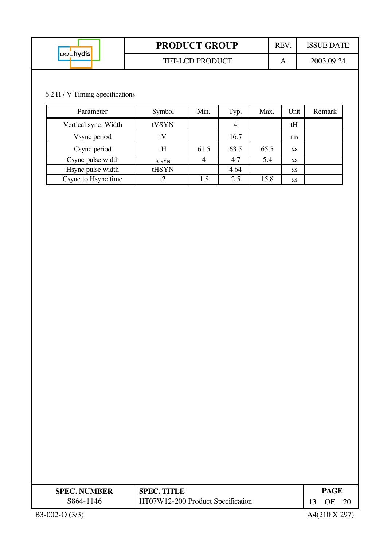| <b>BOENydis</b> | <b>PRODUCT GROUP</b>   |  | ISSUE DATE |
|-----------------|------------------------|--|------------|
|                 | <b>TFT-LCD PRODUCT</b> |  | 2003.09.24 |

## 6.2 H / V Timing Specifications

| Parameter            | Symbol         | Min. | Typ. | Max. | Unit      | Remark |
|----------------------|----------------|------|------|------|-----------|--------|
| Vertical sync. Width | tVSYN          |      | 4    |      | tH        |        |
| Vsync period         | tV             |      | 16.7 |      | ms        |        |
| Csync period         | tH             | 61.5 | 63.5 | 65.5 | $\mu$ s   |        |
| Csync pulse width    | $t_{\rm CSYN}$ |      | 4.7  | 5.4  | <b>US</b> |        |
| Hsync pulse width    | tHSYN          |      | 4.64 |      | <b>US</b> |        |
| Csync to Hsync time  |                | 1.8  | 2.5  | 15.8 | $\mu$ s   |        |

| <b>SPEC. NUMBER</b> | <b>SPEC. TITLE</b>                |  | PAGE |  |  |
|---------------------|-----------------------------------|--|------|--|--|
| S864-1146           | HT07W12-200 Product Specification |  | OF   |  |  |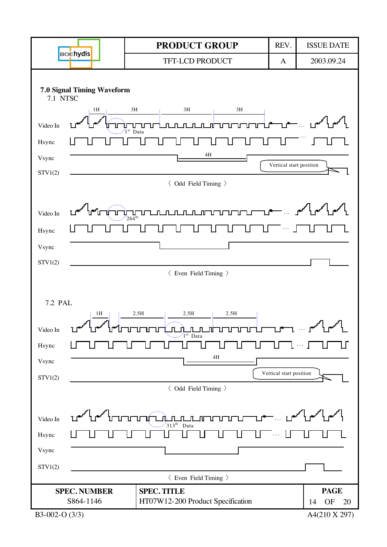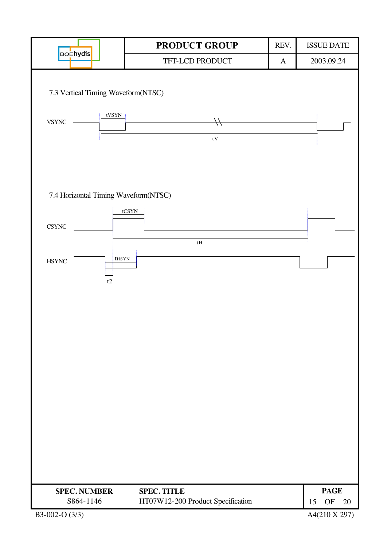|                                      |                    | PRODUCT GROUP<br>REV.                                   |                                                       | <b>ISSUE DATE</b> |
|--------------------------------------|--------------------|---------------------------------------------------------|-------------------------------------------------------|-------------------|
| <b>BOEhydis</b>                      |                    | TFT-LCD PRODUCT                                         | $\mathbf{A}$                                          | 2003.09.24        |
| 7.3 Vertical Timing Waveform(NTSC)   |                    |                                                         |                                                       |                   |
| <b>VSYNC</b>                         | tVSYN <sub>1</sub> | tV                                                      |                                                       |                   |
|                                      |                    |                                                         |                                                       |                   |
| 7.4 Horizontal Timing Waveform(NTSC) | tCSYN              |                                                         |                                                       |                   |
| $\ensuremath{\mathsf{CSYNC}}$        |                    |                                                         |                                                       |                   |
| $\operatorname{HSYNC}$<br>t2.        | thsyn              | $\ensuremath{\mathrm{tH}}$                              |                                                       |                   |
|                                      |                    |                                                         |                                                       |                   |
|                                      |                    |                                                         |                                                       |                   |
|                                      |                    |                                                         |                                                       |                   |
|                                      |                    |                                                         |                                                       |                   |
|                                      |                    |                                                         |                                                       |                   |
|                                      |                    |                                                         |                                                       |                   |
|                                      |                    |                                                         |                                                       |                   |
| <b>SPEC. NUMBER</b><br>S864-1146     |                    | <b>SPEC. TITLE</b><br>HT07W12-200 Product Specification | <b>PAGE</b><br>$\mathop{\rm OF}\nolimits$<br>15<br>20 |                   |
| B3-002-O (3/3)                       |                    |                                                         |                                                       | A4(210 X 297)     |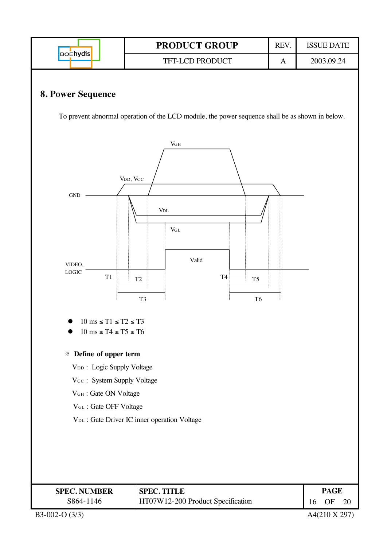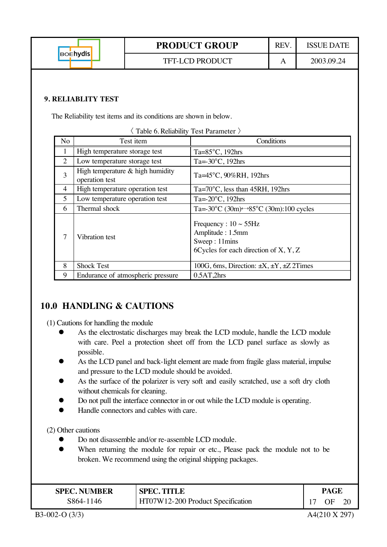**PRODUCT GROUP** REV. ISSUE DATE **BOEhydis** TFT-LCD PRODUCT A A 2003.09.24 **9. RELIABLITY TEST** The Reliability test items and its conditions are shown in below.  $\langle$  Table 6. Reliability Test Parameter  $\rangle$ No Test item Conditions 1 | High temperature storage test | Ta=85°C, 192hrs 2 Low temperature storage test  $T_a = -30^{\circ}C$ , 192hrs  $3 \left| \right.$  High temperature & high humidity operation test Ta=45°C, 90%RH, 192hrs 4 | High temperature operation test Ta=70°C, less than 45RH, 192hrs 5 Low temperature operation test  $T_{a=-20\degree C, 192\text{hrs}}$ 6 Thermal shock  $\boxed{\text{Ta} = -30^{\circ} \text{C} (30 \text{m}) \rightarrow 85^{\circ} \text{C} (30 \text{m}) : 100 \text{ cycles}}$ Frequency :  $10 \sim 55$ Hz

> Amplitude : 1.5mm Sweep : 11mins

6Cycles for each direction of X, Y, Z

## **10.0 HANDLING & CAUTIONS**

(1) Cautions for handling the module

7 Vibration test

As the electrostatic discharges may break the LCD module, handle the LCD module with care. Peel a protection sheet off from the LCD panel surface as slowly as possible.

8 Shock Test 100G, 6ms, Direction:  $\pm X$ ,  $\pm Y$ ,  $\pm Z$  2Times

- As the LCD panel and back-light element are made from fragile glass material, impulse and pressure to the LCD module should be avoided.
- As the surface of the polarizer is very soft and easily scratched, use a soft dry cloth without chemicals for cleaning.
- Do not pull the interface connector in or out while the LCD module is operating.
- Handle connectors and cables with care.

(2) Other cautions

Do not disassemble and/or re-assemble LCD module.

9 Endurance of atmospheric pressure 0.5AT,2hrs

When returning the module for repair or etc., Please pack the module not to be broken. We recommend using the original shipping packages.

| <b>SPEC. NUMBER</b> | <b>SPEC. TITLE</b>                |  | PAGE |  |  |
|---------------------|-----------------------------------|--|------|--|--|
| S864-1146           | HT07W12-200 Product Specification |  | ΟF   |  |  |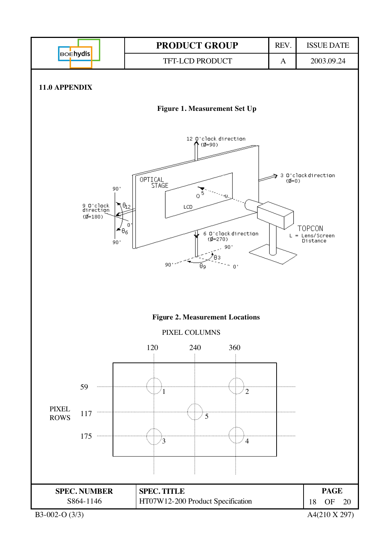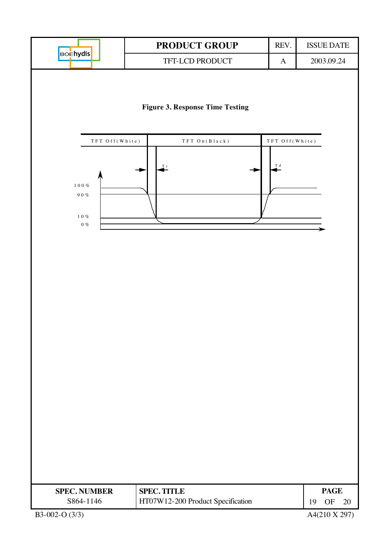